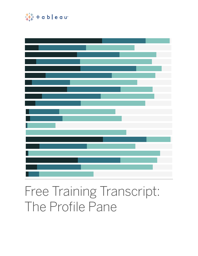

# Free Training Transcript: The Profile Pane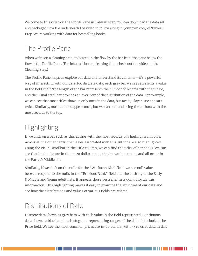Welcome to this video on the Profile Pane in Tableau Prep. You can download the data set and packaged flow file underneath the video to follow along in your own copy of Tableau Prep. We're working with data for bestselling books.

## The Profile Pane

When we're on a cleaning step, indicated in the flow by the bar icon, the pane below the flow is the Profile Pane. (For information on cleaning data, check out the video on the Cleaning Step.)

The Profile Pane helps us explore our data and understand its contents--it's a powerful way of interacting with our data. For discrete data, each grey bar we see represents a value in the field itself. The length of the bar represents the number of records with that value, and the visual scrollbar provides an overview of the distribution of the data. For example, we can see that most titles show up only once in the data, but Ready Player One appears twice. Similarly, most authors appear once, but we can sort and bring the authors with the most records to the top.

## **Highlighting**

If we click on a bar such as this author with the most records, it's highlighted in blue. Across all the other cards, the values associated with this author are also highlighted. Using the visual scrollbar in the Title column, we can find the titles of her books. We can see that her books are in the 10-20 dollar range, they're various ranks, and all occur in the Early & Middle list.

Similarly, if we click on the nulls for the "Weeks on List" field, we see null values here correspond to the nulls in the "Previous Rank" field and the entirety of the Early & Middle and Young Adult lists. It appears those bestseller lists don't provide this information. This highlighting makes it easy to examine the structure of our data and see how the distributions and values of various fields are related.

#### Distributions of Data

Discrete data shows as grey bars with each value in the field represented. Continuous data shows as blue bars in a histogram, representing ranges of the data. Let's look at the Price field. We see the most common prices are 10-20 dollars, with 53 rows of data in this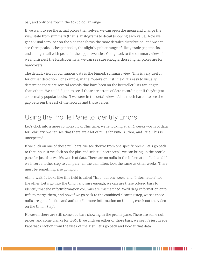bar, and only one row in the 50-60 dollar range.

If we want to see the actual prices themselves, we can open the menu and change the view state from summary (that is, histogram) to detail (showing each value). Now we get a visual scrollbar on the side that shows the more detailed distribution, and we can see three peaks--cheaper books, the slightly pricier range of likely trade paperbacks, and a longer tail with peaks in the upper twenties. Going back to the summary view, if we multiselect the Hardcover lists, we can see sure enough, those higher prices are for hardcovers.

The default view for continuous data is the binned, summary view. This is very useful for outlier detection. For example, in the "Weeks on List" field, it's easy to visually determine there are several records that have been on the bestseller lists far longer than others. We could dig in to see if those are errors of data recording or if they're just abnormally popular books. If we were in the detail view, it'd be much harder to see the gap between the rest of the records and those values.

### Using the Profile Pane to Identify Errors

Let's click into a more complex flow. This time, we're looking at all 4 weeks worth of data for February. We can see that there are a lot of nulls for ISBN, Author, and Title. This is unexpected.

If we click on one of these null bars, we see they're from one specific week. Let's go back to that input. If we click on the plus and select "Insert Step", we can bring up the profile pane for just this week's worth of data. There are no nulls in the Information field, and if we insert another step to compare, all the delimiters look the same as other weeks. There must be something else going on.

Ahhh, wait. It looks like this field is called "Info" for one week, and "Information" for the other. Let's go into the Union and sure enough, we can use these colored bars to identify that the Info/Information columns are mismatched. We'll drag Information onto Info to merge them, and now if we go back to the combined cleaning step, we see those nulls are gone for title and author. (For more information on Unions, check out the video on the Union Step).

However, there are still some odd bars showing in the profile pane. There are some null prices, and some blanks for ISBN. If we click on either of those bars, we see it's just Trade Paperback Fiction from the week of the 21st. Let's go back and look at that data.

a shekara